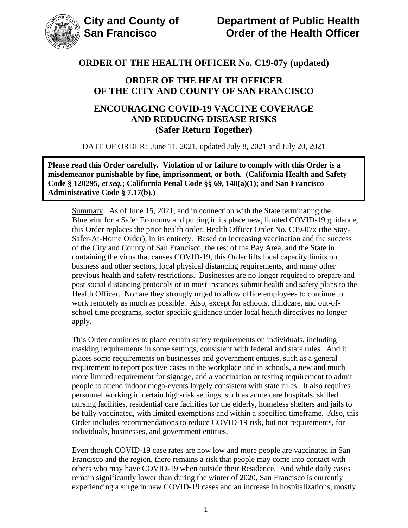

### **ORDER OF THE HEALTH OFFICER OF THE CITY AND COUNTY OF SAN FRANCISCO**

### **ENCOURAGING COVID-19 VACCINE COVERAGE AND REDUCING DISEASE RISKS (Safer Return Together)**

DATE OF ORDER: June 11, 2021, updated July 8, 2021 and July 20, 2021

**Please read this Order carefully. Violation of or failure to comply with this Order is a misdemeanor punishable by fine, imprisonment, or both. (California Health and Safety Code § 120295,** *et seq.***; California Penal Code §§ 69, 148(a)(1); and San Francisco Administrative Code § 7.17(b).)**

Summary: As of June 15, 2021, and in connection with the State terminating the Blueprint for a Safer Economy and putting in its place new, limited COVID-19 guidance, this Order replaces the prior health order, Health Officer Order No. C19-07x (the Stay-Safer-At-Home Order), in its entirety. Based on increasing vaccination and the success of the City and County of San Francisco, the rest of the Bay Area, and the State in containing the virus that causes COVID-19, this Order lifts local capacity limits on business and other sectors, local physical distancing requirements, and many other previous health and safety restrictions. Businesses are no longer required to prepare and post social distancing protocols or in most instances submit health and safety plans to the Health Officer. Nor are they strongly urged to allow office employees to continue to work remotely as much as possible. Also, except for schools, childcare, and out-ofschool time programs, sector specific guidance under local health directives no longer apply.

This Order continues to place certain safety requirements on individuals, including masking requirements in some settings, consistent with federal and state rules. And it places some requirements on businesses and government entities, such as a general requirement to report positive cases in the workplace and in schools, a new and much more limited requirement for signage, and a vaccination or testing requirement to admit people to attend indoor mega-events largely consistent with state rules. It also requires personnel working in certain high-risk settings, such as acute care hospitals, skilled nursing facilities, residential care facilities for the elderly, homeless shelters and jails to be fully vaccinated, with limited exemptions and within a specified timeframe. Also, this Order includes recommendations to reduce COVID-19 risk, but not requirements, for individuals, businesses, and government entities.

Even though COVID-19 case rates are now low and more people are vaccinated in San Francisco and the region, there remains a risk that people may come into contact with others who may have COVID-19 when outside their Residence. And while daily cases remain significantly lower than during the winter of 2020, San Francisco is currently experiencing a surge in new COVID-19 cases and an increase in hospitalizations, mostly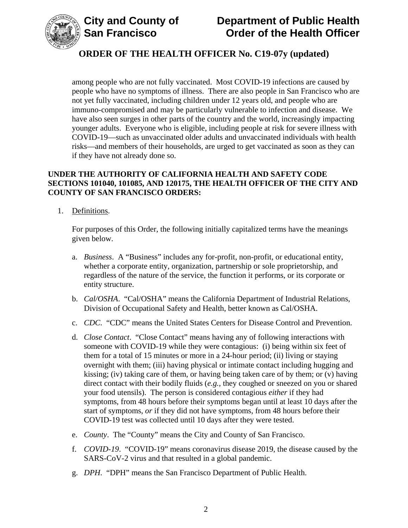

among people who are not fully vaccinated. Most COVID-19 infections are caused by people who have no symptoms of illness. There are also people in San Francisco who are not yet fully vaccinated, including children under 12 years old, and people who are immuno-compromised and may be particularly vulnerable to infection and disease. We have also seen surges in other parts of the country and the world, increasingly impacting younger adults. Everyone who is eligible, including people at risk for severe illness with COVID-19—such as unvaccinated older adults and unvaccinated individuals with health risks—and members of their households, are urged to get vaccinated as soon as they can if they have not already done so.

### **UNDER THE AUTHORITY OF CALIFORNIA HEALTH AND SAFETY CODE SECTIONS 101040, 101085, AND 120175, THE HEALTH OFFICER OF THE CITY AND COUNTY OF SAN FRANCISCO ORDERS:**

1. Definitions.

For purposes of this Order, the following initially capitalized terms have the meanings given below.

- a. *Business*. A "Business" includes any for-profit, non-profit, or educational entity, whether a corporate entity, organization, partnership or sole proprietorship, and regardless of the nature of the service, the function it performs, or its corporate or entity structure.
- b. *Cal/OSHA*. "Cal/OSHA" means the California Department of Industrial Relations, Division of Occupational Safety and Health, better known as Cal/OSHA.
- c. *CDC*. "CDC" means the United States Centers for Disease Control and Prevention.
- d. *Close Contact*. "Close Contact" means having any of following interactions with someone with COVID-19 while they were contagious: (i) being within six feet of them for a total of 15 minutes or more in a 24-hour period; (ii) living or staying overnight with them; (iii) having physical or intimate contact including hugging and kissing; (iv) taking care of them, or having being taken care of by them; or (v) having direct contact with their bodily fluids (*e.g.*, they coughed or sneezed on you or shared your food utensils). The person is considered contagious *either* if they had symptoms, from 48 hours before their symptoms began until at least 10 days after the start of symptoms, *or* if they did not have symptoms, from 48 hours before their COVID-19 test was collected until 10 days after they were tested.
- e. *County*. The "County" means the City and County of San Francisco.
- f. *COVID-19*. "COVID-19" means coronavirus disease 2019, the disease caused by the SARS-CoV-2 virus and that resulted in a global pandemic.
- g. *DPH*. "DPH" means the San Francisco Department of Public Health.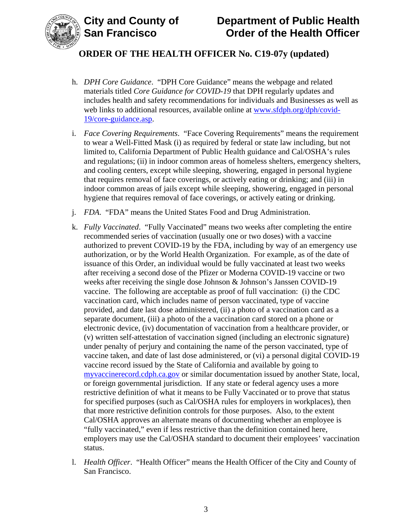

## **City and County of Department of Public Health Order of the Health Officer**

## **ORDER OF THE HEALTH OFFICER No. C19-07y (updated)**

- h. *DPH Core Guidance*. "DPH Core Guidance" means the webpage and related materials titled *Core Guidance for COVID-19* that DPH regularly updates and includes health and safety recommendations for individuals and Businesses as well as web links to additional resources, available online at www.sfdph.org/dph/covid-19/core-guidance.asp.
- i. *Face Covering Requirements*. "Face Covering Requirements" means the requirement to wear a Well-Fitted Mask (i) as required by federal or state law including, but not limited to, California Department of Public Health guidance and Cal/OSHA's rules and regulations; (ii) in indoor common areas of homeless shelters, emergency shelters, and cooling centers, except while sleeping, showering, engaged in personal hygiene that requires removal of face coverings, or actively eating or drinking; and (iii) in indoor common areas of jails except while sleeping, showering, engaged in personal hygiene that requires removal of face coverings, or actively eating or drinking.
- j. *FDA*. "FDA" means the United States Food and Drug Administration.
- k. *Fully Vaccinated*. "Fully Vaccinated" means two weeks after completing the entire recommended series of vaccination (usually one or two doses) with a vaccine authorized to prevent COVID-19 by the FDA, including by way of an emergency use authorization, or by the World Health Organization. For example, as of the date of issuance of this Order, an individual would be fully vaccinated at least two weeks after receiving a second dose of the Pfizer or Moderna COVID-19 vaccine or two weeks after receiving the single dose Johnson & Johnson's Janssen COVID-19 vaccine. The following are acceptable as proof of full vaccination: (i) the CDC vaccination card, which includes name of person vaccinated, type of vaccine provided, and date last dose administered, (ii) a photo of a vaccination card as a separate document, (iii) a photo of the a vaccination card stored on a phone or electronic device, (iv) documentation of vaccination from a healthcare provider, or (v) written self-attestation of vaccination signed (including an electronic signature) under penalty of perjury and containing the name of the person vaccinated, type of vaccine taken, and date of last dose administered, or (vi) a personal digital COVID-19 vaccine record issued by the State of California and available by going to myvaccinerecord.cdph.ca.gov or similar documentation issued by another State, local, or foreign governmental jurisdiction. If any state or federal agency uses a more restrictive definition of what it means to be Fully Vaccinated or to prove that status for specified purposes (such as Cal/OSHA rules for employers in workplaces), then that more restrictive definition controls for those purposes. Also, to the extent Cal/OSHA approves an alternate means of documenting whether an employee is "fully vaccinated," even if less restrictive than the definition contained here, employers may use the Cal/OSHA standard to document their employees' vaccination status.
- l. *Health Officer*. "Health Officer" means the Health Officer of the City and County of San Francisco.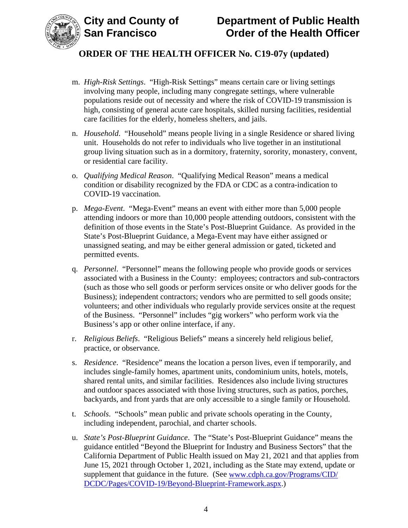



- m. *High-Risk Settings*. "High-Risk Settings" means certain care or living settings involving many people, including many congregate settings, where vulnerable populations reside out of necessity and where the risk of COVID-19 transmission is high, consisting of general acute care hospitals, skilled nursing facilities, residential care facilities for the elderly, homeless shelters, and jails.
- n. *Household*. "Household" means people living in a single Residence or shared living unit. Households do not refer to individuals who live together in an institutional group living situation such as in a dormitory, fraternity, sorority, monastery, convent, or residential care facility.
- o. *Qualifying Medical Reason*. "Qualifying Medical Reason" means a medical condition or disability recognized by the FDA or CDC as a contra-indication to COVID-19 vaccination.
- p. *Mega-Event*. "Mega-Event" means an event with either more than 5,000 people attending indoors or more than 10,000 people attending outdoors, consistent with the definition of those events in the State's Post-Blueprint Guidance. As provided in the State's Post-Blueprint Guidance, a Mega-Event may have either assigned or unassigned seating, and may be either general admission or gated, ticketed and permitted events.
- q. *Personnel*."Personnel" means the following people who provide goods or services associated with a Business in the County: employees; contractors and sub-contractors (such as those who sell goods or perform services onsite or who deliver goods for the Business); independent contractors; vendors who are permitted to sell goods onsite; volunteers; and other individuals who regularly provide services onsite at the request of the Business. "Personnel" includes "gig workers" who perform work via the Business's app or other online interface, if any.
- r. *Religious Beliefs*. "Religious Beliefs" means a sincerely held religious belief, practice, or observance.
- s. *Residence*. "Residence" means the location a person lives, even if temporarily, and includes single-family homes, apartment units, condominium units, hotels, motels, shared rental units, and similar facilities. Residences also include living structures and outdoor spaces associated with those living structures, such as patios, porches, backyards, and front yards that are only accessible to a single family or Household.
- t. *Schools*. "Schools" mean public and private schools operating in the County, including independent, parochial, and charter schools.
- u. *State's Post-Blueprint Guidance*. The "State's Post-Blueprint Guidance" means the guidance entitled "Beyond the Blueprint for Industry and Business Sectors" that the California Department of Public Health issued on May 21, 2021 and that applies from June 15, 2021 through October 1, 2021, including as the State may extend, update or supplement that guidance in the future. (See www.cdph.ca.gov/Programs/CID/ DCDC/Pages/COVID-19/Beyond-Blueprint-Framework.aspx.)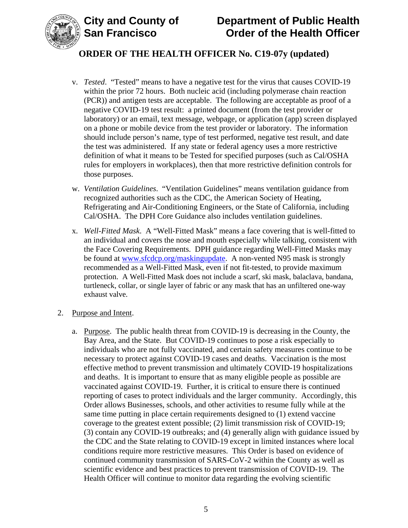

## **City and County of Department of Public Health Order of the Health Officer**

## **ORDER OF THE HEALTH OFFICER No. C19-07y (updated)**

- v. *Tested*. "Tested" means to have a negative test for the virus that causes COVID-19 within the prior 72 hours. Both nucleic acid (including polymerase chain reaction (PCR)) and antigen tests are acceptable. The following are acceptable as proof of a negative COVID-19 test result: a printed document (from the test provider or laboratory) or an email, text message, webpage, or application (app) screen displayed on a phone or mobile device from the test provider or laboratory. The information should include person's name, type of test performed, negative test result, and date the test was administered. If any state or federal agency uses a more restrictive definition of what it means to be Tested for specified purposes (such as Cal/OSHA rules for employers in workplaces), then that more restrictive definition controls for those purposes.
- w. *Ventilation Guidelines*. "Ventilation Guidelines" means ventilation guidance from recognized authorities such as the CDC, the American Society of Heating, Refrigerating and Air-Conditioning Engineers, or the State of California, including Cal/OSHA. The DPH Core Guidance also includes ventilation guidelines.
- x. *Well-Fitted Mask*. A "Well-Fitted Mask" means a face covering that is well-fitted to an individual and covers the nose and mouth especially while talking, consistent with the Face Covering Requirements. DPH guidance regarding Well-Fitted Masks may be found at www.sfcdcp.org/maskingupdate. A non-vented N95 mask is strongly recommended as a Well-Fitted Mask, even if not fit-tested, to provide maximum protection. A Well-Fitted Mask does not include a scarf, ski mask, balaclava, bandana, turtleneck, collar, or single layer of fabric or any mask that has an unfiltered one-way exhaust valve.

#### 2. Purpose and Intent.

a. Purpose. The public health threat from COVID-19 is decreasing in the County, the Bay Area, and the State. But COVID-19 continues to pose a risk especially to individuals who are not fully vaccinated, and certain safety measures continue to be necessary to protect against COVID-19 cases and deaths. Vaccination is the most effective method to prevent transmission and ultimately COVID-19 hospitalizations and deaths. It is important to ensure that as many eligible people as possible are vaccinated against COVID-19. Further, it is critical to ensure there is continued reporting of cases to protect individuals and the larger community. Accordingly, this Order allows Businesses, schools, and other activities to resume fully while at the same time putting in place certain requirements designed to (1) extend vaccine coverage to the greatest extent possible; (2) limit transmission risk of COVID-19; (3) contain any COVID-19 outbreaks; and (4) generally align with guidance issued by the CDC and the State relating to COVID-19 except in limited instances where local conditions require more restrictive measures. This Order is based on evidence of continued community transmission of SARS-CoV-2 within the County as well as scientific evidence and best practices to prevent transmission of COVID-19. The Health Officer will continue to monitor data regarding the evolving scientific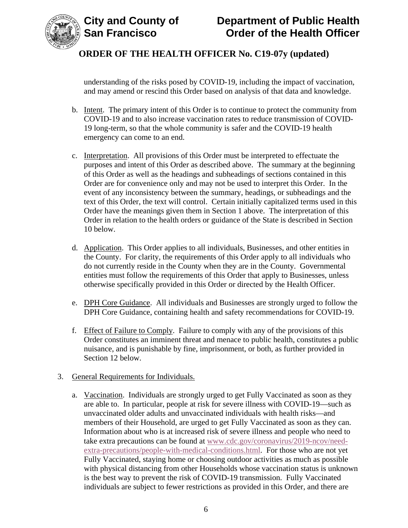



understanding of the risks posed by COVID-19, including the impact of vaccination, and may amend or rescind this Order based on analysis of that data and knowledge.

- b. Intent. The primary intent of this Order is to continue to protect the community from COVID-19 and to also increase vaccination rates to reduce transmission of COVID-19 long-term, so that the whole community is safer and the COVID-19 health emergency can come to an end.
- c. Interpretation. All provisions of this Order must be interpreted to effectuate the purposes and intent of this Order as described above. The summary at the beginning of this Order as well as the headings and subheadings of sections contained in this Order are for convenience only and may not be used to interpret this Order. In the event of any inconsistency between the summary, headings, or subheadings and the text of this Order, the text will control. Certain initially capitalized terms used in this Order have the meanings given them in Section 1 above. The interpretation of this Order in relation to the health orders or guidance of the State is described in Section 10 below.
- d. Application. This Order applies to all individuals, Businesses, and other entities in the County. For clarity, the requirements of this Order apply to all individuals who do not currently reside in the County when they are in the County. Governmental entities must follow the requirements of this Order that apply to Businesses, unless otherwise specifically provided in this Order or directed by the Health Officer.
- e. DPH Core Guidance. All individuals and Businesses are strongly urged to follow the DPH Core Guidance, containing health and safety recommendations for COVID-19.
- f. Effect of Failure to Comply. Failure to comply with any of the provisions of this Order constitutes an imminent threat and menace to public health, constitutes a public nuisance, and is punishable by fine, imprisonment, or both, as further provided in Section 12 below.

#### 3. General Requirements for Individuals.

a. Vaccination. Individuals are strongly urged to get Fully Vaccinated as soon as they are able to. In particular, people at risk for severe illness with COVID-19—such as unvaccinated older adults and unvaccinated individuals with health risks—and members of their Household, are urged to get Fully Vaccinated as soon as they can. Information about who is at increased risk of severe illness and people who need to take extra precautions can be found at www.cdc.gov/coronavirus/2019-ncov/needextra-precautions/people-with-medical-conditions.html. For those who are not yet Fully Vaccinated, staying home or choosing outdoor activities as much as possible with physical distancing from other Households whose vaccination status is unknown is the best way to prevent the risk of COVID-19 transmission. Fully Vaccinated individuals are subject to fewer restrictions as provided in this Order, and there are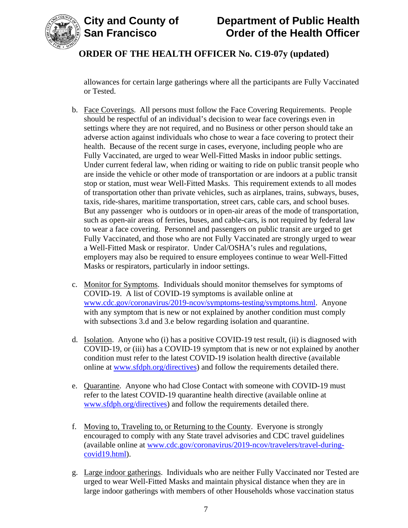

allowances for certain large gatherings where all the participants are Fully Vaccinated or Tested.

- b. Face Coverings. All persons must follow the Face Covering Requirements. People should be respectful of an individual's decision to wear face coverings even in settings where they are not required, and no Business or other person should take an adverse action against individuals who chose to wear a face covering to protect their health. Because of the recent surge in cases, everyone, including people who are Fully Vaccinated, are urged to wear Well-Fitted Masks in indoor public settings. Under current federal law, when riding or waiting to ride on public transit people who are inside the vehicle or other mode of transportation or are indoors at a public transit stop or station, must wear Well-Fitted Masks. This requirement extends to all modes of transportation other than private vehicles, such as airplanes, trains, subways, buses, taxis, ride-shares, maritime transportation, street cars, cable cars, and school buses. But any passenger who is outdoors or in open-air areas of the mode of transportation, such as open-air areas of ferries, buses, and cable-cars, is not required by federal law to wear a face covering. Personnel and passengers on public transit are urged to get Fully Vaccinated, and those who are not Fully Vaccinated are strongly urged to wear a Well-Fitted Mask or respirator. Under Cal/OSHA's rules and regulations, employers may also be required to ensure employees continue to wear Well-Fitted Masks or respirators, particularly in indoor settings.
- c. Monitor for Symptoms. Individuals should monitor themselves for symptoms of COVID-19. A list of COVID-19 symptoms is available online at www.cdc.gov/coronavirus/2019-ncov/symptoms-testing/symptoms.html. Anyone with any symptom that is new or not explained by another condition must comply with subsections 3.d and 3.e below regarding isolation and quarantine.
- d. Isolation. Anyone who (i) has a positive COVID-19 test result, (ii) is diagnosed with COVID-19, or (iii) has a COVID-19 symptom that is new or not explained by another condition must refer to the latest COVID-19 isolation health directive (available online at www.sfdph.org/directives) and follow the requirements detailed there.
- e. Quarantine. Anyone who had Close Contact with someone with COVID-19 must refer to the latest COVID-19 quarantine health directive (available online at www.sfdph.org/directives) and follow the requirements detailed there.
- f. Moving to, Traveling to, or Returning to the County. Everyone is strongly encouraged to comply with any State travel advisories and CDC travel guidelines (available online at www.cdc.gov/coronavirus/2019-ncov/travelers/travel-duringcovid19.html).
- g. Large indoor gatherings. Individuals who are neither Fully Vaccinated nor Tested are urged to wear Well-Fitted Masks and maintain physical distance when they are in large indoor gatherings with members of other Households whose vaccination status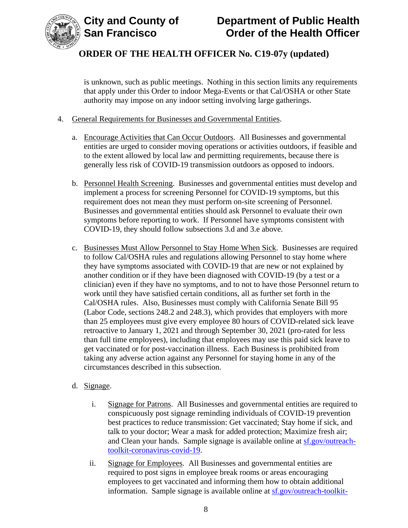

is unknown, such as public meetings. Nothing in this section limits any requirements that apply under this Order to indoor Mega-Events or that Cal/OSHA or other State authority may impose on any indoor setting involving large gatherings.

### 4. General Requirements for Businesses and Governmental Entities.

- a. Encourage Activities that Can Occur Outdoors. All Businesses and governmental entities are urged to consider moving operations or activities outdoors, if feasible and to the extent allowed by local law and permitting requirements, because there is generally less risk of COVID-19 transmission outdoors as opposed to indoors.
- b. Personnel Health Screening. Businesses and governmental entities must develop and implement a process for screening Personnel for COVID-19 symptoms, but this requirement does not mean they must perform on-site screening of Personnel. Businesses and governmental entities should ask Personnel to evaluate their own symptoms before reporting to work. If Personnel have symptoms consistent with COVID-19, they should follow subsections 3.d and 3.e above.
- c. Businesses Must Allow Personnel to Stay Home When Sick. Businesses are required to follow Cal/OSHA rules and regulations allowing Personnel to stay home where they have symptoms associated with COVID-19 that are new or not explained by another condition or if they have been diagnosed with COVID-19 (by a test or a clinician) even if they have no symptoms, and to not to have those Personnel return to work until they have satisfied certain conditions, all as further set forth in the Cal/OSHA rules. Also, Businesses must comply with California Senate Bill 95 (Labor Code, sections 248.2 and 248.3), which provides that employers with more than 25 employees must give every employee 80 hours of COVID-related sick leave retroactive to January 1, 2021 and through September 30, 2021 (pro-rated for less than full time employees), including that employees may use this paid sick leave to get vaccinated or for post-vaccination illness. Each Business is prohibited from taking any adverse action against any Personnel for staying home in any of the circumstances described in this subsection.
- d. Signage.
	- i. Signage for Patrons. All Businesses and governmental entities are required to conspicuously post signage reminding individuals of COVID-19 prevention best practices to reduce transmission: Get vaccinated; Stay home if sick, and talk to your doctor; Wear a mask for added protection; Maximize fresh air; and Clean your hands. Sample signage is available online at sf.gov/outreachtoolkit-coronavirus-covid-19.
	- ii. Signage for Employees. All Businesses and governmental entities are required to post signs in employee break rooms or areas encouraging employees to get vaccinated and informing them how to obtain additional information. Sample signage is available online at sf.gov/outreach-toolkit-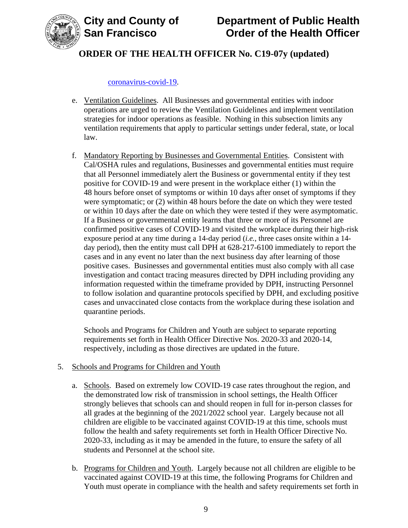



#### coronavirus-covid-19.

- e. Ventilation Guidelines. All Businesses and governmental entities with indoor operations are urged to review the Ventilation Guidelines and implement ventilation strategies for indoor operations as feasible. Nothing in this subsection limits any ventilation requirements that apply to particular settings under federal, state, or local law.
- f. Mandatory Reporting by Businesses and Governmental Entities. Consistent with Cal/OSHA rules and regulations, Businesses and governmental entities must require that all Personnel immediately alert the Business or governmental entity if they test positive for COVID-19 and were present in the workplace either (1) within the 48 hours before onset of symptoms or within 10 days after onset of symptoms if they were symptomatic; or (2) within 48 hours before the date on which they were tested or within 10 days after the date on which they were tested if they were asymptomatic. If a Business or governmental entity learns that three or more of its Personnel are confirmed positive cases of COVID-19 and visited the workplace during their high-risk exposure period at any time during a 14-day period (*i.e.*, three cases onsite within a 14 day period), then the entity must call DPH at 628-217-6100 immediately to report the cases and in any event no later than the next business day after learning of those positive cases. Businesses and governmental entities must also comply with all case investigation and contact tracing measures directed by DPH including providing any information requested within the timeframe provided by DPH, instructing Personnel to follow isolation and quarantine protocols specified by DPH, and excluding positive cases and unvaccinated close contacts from the workplace during these isolation and quarantine periods.

Schools and Programs for Children and Youth are subject to separate reporting requirements set forth in Health Officer Directive Nos. 2020-33 and 2020-14, respectively, including as those directives are updated in the future.

#### 5. Schools and Programs for Children and Youth

- a. Schools. Based on extremely low COVID-19 case rates throughout the region, and the demonstrated low risk of transmission in school settings, the Health Officer strongly believes that schools can and should reopen in full for in-person classes for all grades at the beginning of the 2021/2022 school year. Largely because not all children are eligible to be vaccinated against COVID-19 at this time, schools must follow the health and safety requirements set forth in Health Officer Directive No. 2020-33, including as it may be amended in the future, to ensure the safety of all students and Personnel at the school site.
- b. Programs for Children and Youth. Largely because not all children are eligible to be vaccinated against COVID-19 at this time, the following Programs for Children and Youth must operate in compliance with the health and safety requirements set forth in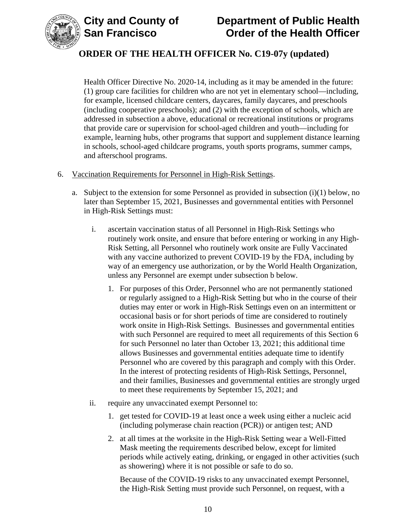



Health Officer Directive No. 2020-14, including as it may be amended in the future: (1) group care facilities for children who are not yet in elementary school—including, for example, licensed childcare centers, daycares, family daycares, and preschools (including cooperative preschools); and (2) with the exception of schools, which are addressed in subsection a above, educational or recreational institutions or programs that provide care or supervision for school-aged children and youth—including for example, learning hubs, other programs that support and supplement distance learning in schools, school-aged childcare programs, youth sports programs, summer camps, and afterschool programs.

- 6. Vaccination Requirements for Personnel in High-Risk Settings.
	- a. Subject to the extension for some Personnel as provided in subsection  $(i)(1)$  below, no later than September 15, 2021, Businesses and governmental entities with Personnel in High-Risk Settings must:
		- i. ascertain vaccination status of all Personnel in High-Risk Settings who routinely work onsite, and ensure that before entering or working in any High-Risk Setting, all Personnel who routinely work onsite are Fully Vaccinated with any vaccine authorized to prevent COVID-19 by the FDA, including by way of an emergency use authorization, or by the World Health Organization, unless any Personnel are exempt under subsection b below.
			- 1. For purposes of this Order, Personnel who are not permanently stationed or regularly assigned to a High-Risk Setting but who in the course of their duties may enter or work in High-Risk Settings even on an intermittent or occasional basis or for short periods of time are considered to routinely work onsite in High-Risk Settings. Businesses and governmental entities with such Personnel are required to meet all requirements of this Section 6 for such Personnel no later than October 13, 2021; this additional time allows Businesses and governmental entities adequate time to identify Personnel who are covered by this paragraph and comply with this Order. In the interest of protecting residents of High-Risk Settings, Personnel, and their families, Businesses and governmental entities are strongly urged to meet these requirements by September 15, 2021; and
		- ii. require any unvaccinated exempt Personnel to:
			- 1. get tested for COVID-19 at least once a week using either a nucleic acid (including polymerase chain reaction (PCR)) or antigen test; AND
			- 2. at all times at the worksite in the High-Risk Setting wear a Well-Fitted Mask meeting the requirements described below, except for limited periods while actively eating, drinking, or engaged in other activities (such as showering) where it is not possible or safe to do so.

Because of the COVID-19 risks to any unvaccinated exempt Personnel, the High-Risk Setting must provide such Personnel, on request, with a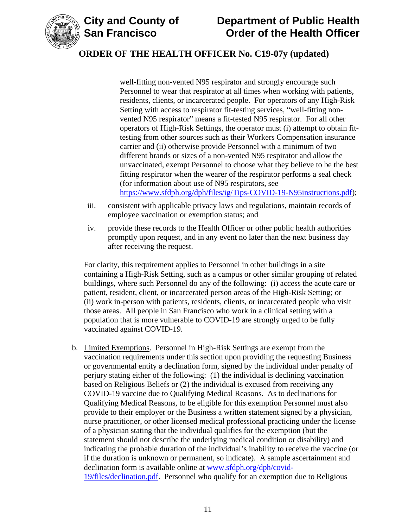

well-fitting non-vented N95 respirator and strongly encourage such Personnel to wear that respirator at all times when working with patients, residents, clients, or incarcerated people. For operators of any High-Risk Setting with access to respirator fit-testing services, "well-fitting nonvented N95 respirator" means a fit-tested N95 respirator. For all other operators of High-Risk Settings, the operator must (i) attempt to obtain fittesting from other sources such as their Workers Compensation insurance carrier and (ii) otherwise provide Personnel with a minimum of two different brands or sizes of a non-vented N95 respirator and allow the unvaccinated, exempt Personnel to choose what they believe to be the best fitting respirator when the wearer of the respirator performs a seal check (for information about use of N95 respirators, see https://www.sfdph.org/dph/files/ig/Tips-COVID-19-N95instructions.pdf);

- iii. consistent with applicable privacy laws and regulations, maintain records of employee vaccination or exemption status; and
- iv. provide these records to the Health Officer or other public health authorities promptly upon request, and in any event no later than the next business day after receiving the request.

For clarity, this requirement applies to Personnel in other buildings in a site containing a High-Risk Setting, such as a campus or other similar grouping of related buildings, where such Personnel do any of the following: (i) access the acute care or patient, resident, client, or incarcerated person areas of the High-Risk Setting; or (ii) work in-person with patients, residents, clients, or incarcerated people who visit those areas. All people in San Francisco who work in a clinical setting with a population that is more vulnerable to COVID-19 are strongly urged to be fully vaccinated against COVID-19.

b. Limited Exemptions. Personnel in High-Risk Settings are exempt from the vaccination requirements under this section upon providing the requesting Business or governmental entity a declination form, signed by the individual under penalty of perjury stating either of the following: (1) the individual is declining vaccination based on Religious Beliefs or (2) the individual is excused from receiving any COVID-19 vaccine due to Qualifying Medical Reasons. As to declinations for Qualifying Medical Reasons, to be eligible for this exemption Personnel must also provide to their employer or the Business a written statement signed by a physician, nurse practitioner, or other licensed medical professional practicing under the license of a physician stating that the individual qualifies for the exemption (but the statement should not describe the underlying medical condition or disability) and indicating the probable duration of the individual's inability to receive the vaccine (or if the duration is unknown or permanent, so indicate). A sample ascertainment and declination form is available online at www.sfdph.org/dph/covid-19/files/declination.pdf. Personnel who qualify for an exemption due to Religious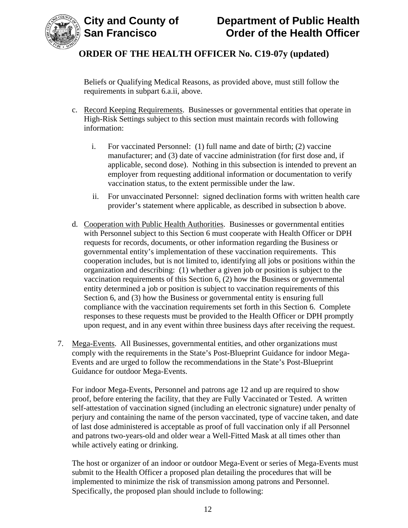



Beliefs or Qualifying Medical Reasons, as provided above, must still follow the requirements in subpart 6.a.ii, above.

- c. Record Keeping Requirements. Businesses or governmental entities that operate in High-Risk Settings subject to this section must maintain records with following information:
	- i. For vaccinated Personnel: (1) full name and date of birth; (2) vaccine manufacturer; and (3) date of vaccine administration (for first dose and, if applicable, second dose). Nothing in this subsection is intended to prevent an employer from requesting additional information or documentation to verify vaccination status, to the extent permissible under the law.
	- ii. For unvaccinated Personnel: signed declination forms with written health care provider's statement where applicable, as described in subsection b above.
- d. Cooperation with Public Health Authorities. Businesses or governmental entities with Personnel subject to this Section 6 must cooperate with Health Officer or DPH requests for records, documents, or other information regarding the Business or governmental entity's implementation of these vaccination requirements. This cooperation includes, but is not limited to, identifying all jobs or positions within the organization and describing: (1) whether a given job or position is subject to the vaccination requirements of this Section 6, (2) how the Business or governmental entity determined a job or position is subject to vaccination requirements of this Section 6, and (3) how the Business or governmental entity is ensuring full compliance with the vaccination requirements set forth in this Section 6. Complete responses to these requests must be provided to the Health Officer or DPH promptly upon request, and in any event within three business days after receiving the request.
- 7. Mega-Events. All Businesses, governmental entities, and other organizations must comply with the requirements in the State's Post-Blueprint Guidance for indoor Mega-Events and are urged to follow the recommendations in the State's Post-Blueprint Guidance for outdoor Mega-Events.

For indoor Mega-Events, Personnel and patrons age 12 and up are required to show proof, before entering the facility, that they are Fully Vaccinated or Tested. A written self-attestation of vaccination signed (including an electronic signature) under penalty of perjury and containing the name of the person vaccinated, type of vaccine taken, and date of last dose administered is acceptable as proof of full vaccination only if all Personnel and patrons two-years-old and older wear a Well-Fitted Mask at all times other than while actively eating or drinking.

The host or organizer of an indoor or outdoor Mega-Event or series of Mega-Events must submit to the Health Officer a proposed plan detailing the procedures that will be implemented to minimize the risk of transmission among patrons and Personnel. Specifically, the proposed plan should include to following: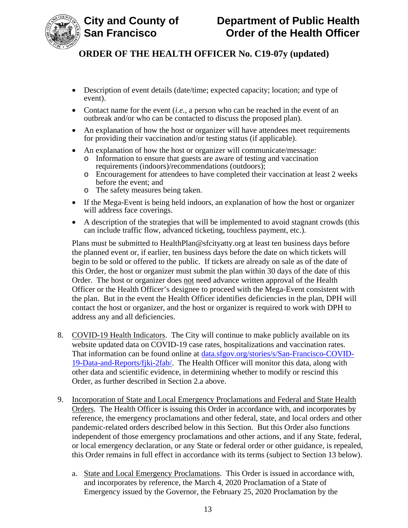

- Description of event details (date/time; expected capacity; location; and type of event).
- Contact name for the event *(i.e.*, a person who can be reached in the event of an outbreak and/or who can be contacted to discuss the proposed plan).
- An explanation of how the host or organizer will have attendees meet requirements for providing their vaccination and/or testing status (if applicable).
- An explanation of how the host or organizer will communicate/message:
	- o Information to ensure that guests are aware of testing and vaccination requirements (indoors)/recommendations (outdoors);
	- o Encouragement for attendees to have completed their vaccination at least 2 weeks before the event; and
	- o The safety measures being taken.
- If the Mega-Event is being held indoors, an explanation of how the host or organizer will address face coverings.
- A description of the strategies that will be implemented to avoid stagnant crowds (this can include traffic flow, advanced ticketing, touchless payment, etc.).

Plans must be submitted to HealthPlan@sfcityatty.org at least ten business days before the planned event or, if earlier, ten business days before the date on which tickets will begin to be sold or offered to the public. If tickets are already on sale as of the date of this Order, the host or organizer must submit the plan within 30 days of the date of this Order. The host or organizer does not need advance written approval of the Health Officer or the Health Officer's designee to proceed with the Mega-Event consistent with the plan. But in the event the Health Officer identifies deficiencies in the plan, DPH will contact the host or organizer, and the host or organizer is required to work with DPH to address any and all deficiencies.

- 8. COVID-19 Health Indicators. The City will continue to make publicly available on its website updated data on COVID-19 case rates, hospitalizations and vaccination rates. That information can be found online at data.sfgov.org/stories/s/San-Francisco-COVID-19-Data-and-Reports/fjki-2fab/. The Health Officer will monitor this data, along with other data and scientific evidence, in determining whether to modify or rescind this Order, as further described in Section 2.a above.
- 9. Incorporation of State and Local Emergency Proclamations and Federal and State Health Orders. The Health Officer is issuing this Order in accordance with, and incorporates by reference, the emergency proclamations and other federal, state, and local orders and other pandemic-related orders described below in this Section. But this Order also functions independent of those emergency proclamations and other actions, and if any State, federal, or local emergency declaration, or any State or federal order or other guidance, is repealed, this Order remains in full effect in accordance with its terms (subject to Section 13 below).
	- a. State and Local Emergency Proclamations. This Order is issued in accordance with, and incorporates by reference, the March 4, 2020 Proclamation of a State of Emergency issued by the Governor, the February 25, 2020 Proclamation by the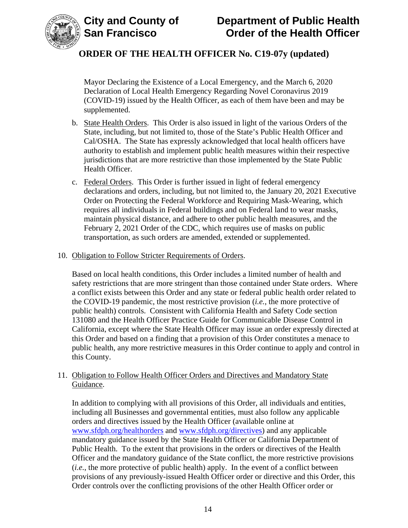



Mayor Declaring the Existence of a Local Emergency, and the March 6, 2020 Declaration of Local Health Emergency Regarding Novel Coronavirus 2019 (COVID-19) issued by the Health Officer, as each of them have been and may be supplemented.

- b. State Health Orders. This Order is also issued in light of the various Orders of the State, including, but not limited to, those of the State's Public Health Officer and Cal/OSHA. The State has expressly acknowledged that local health officers have authority to establish and implement public health measures within their respective jurisdictions that are more restrictive than those implemented by the State Public Health Officer.
- c. Federal Orders. This Order is further issued in light of federal emergency declarations and orders, including, but not limited to, the January 20, 2021 Executive Order on Protecting the Federal Workforce and Requiring Mask-Wearing, which requires all individuals in Federal buildings and on Federal land to wear masks, maintain physical distance, and adhere to other public health measures, and the February 2, 2021 Order of the CDC, which requires use of masks on public transportation, as such orders are amended, extended or supplemented.
- 10. Obligation to Follow Stricter Requirements of Orders.

Based on local health conditions, this Order includes a limited number of health and safety restrictions that are more stringent than those contained under State orders. Where a conflict exists between this Order and any state or federal public health order related to the COVID-19 pandemic, the most restrictive provision (*i.e.*, the more protective of public health) controls. Consistent with California Health and Safety Code section 131080 and the Health Officer Practice Guide for Communicable Disease Control in California, except where the State Health Officer may issue an order expressly directed at this Order and based on a finding that a provision of this Order constitutes a menace to public health, any more restrictive measures in this Order continue to apply and control in this County.

#### 11. Obligation to Follow Health Officer Orders and Directives and Mandatory State Guidance.

In addition to complying with all provisions of this Order, all individuals and entities, including all Businesses and governmental entities, must also follow any applicable orders and directives issued by the Health Officer (available online at www.sfdph.org/healthorders and www.sfdph.org/directives) and any applicable mandatory guidance issued by the State Health Officer or California Department of Public Health. To the extent that provisions in the orders or directives of the Health Officer and the mandatory guidance of the State conflict, the more restrictive provisions (*i.e.*, the more protective of public health) apply. In the event of a conflict between provisions of any previously-issued Health Officer order or directive and this Order, this Order controls over the conflicting provisions of the other Health Officer order or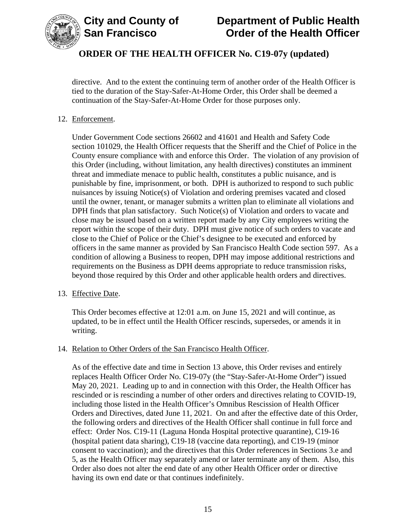

directive. And to the extent the continuing term of another order of the Health Officer is tied to the duration of the Stay-Safer-At-Home Order, this Order shall be deemed a continuation of the Stay-Safer-At-Home Order for those purposes only.

### 12. Enforcement.

Under Government Code sections 26602 and 41601 and Health and Safety Code section 101029, the Health Officer requests that the Sheriff and the Chief of Police in the County ensure compliance with and enforce this Order. The violation of any provision of this Order (including, without limitation, any health directives) constitutes an imminent threat and immediate menace to public health, constitutes a public nuisance, and is punishable by fine, imprisonment, or both. DPH is authorized to respond to such public nuisances by issuing Notice(s) of Violation and ordering premises vacated and closed until the owner, tenant, or manager submits a written plan to eliminate all violations and DPH finds that plan satisfactory. Such Notice(s) of Violation and orders to vacate and close may be issued based on a written report made by any City employees writing the report within the scope of their duty. DPH must give notice of such orders to vacate and close to the Chief of Police or the Chief's designee to be executed and enforced by officers in the same manner as provided by San Francisco Health Code section 597. As a condition of allowing a Business to reopen, DPH may impose additional restrictions and requirements on the Business as DPH deems appropriate to reduce transmission risks, beyond those required by this Order and other applicable health orders and directives.

#### 13. Effective Date.

This Order becomes effective at 12:01 a.m. on June 15, 2021 and will continue, as updated, to be in effect until the Health Officer rescinds, supersedes, or amends it in writing.

#### 14. Relation to Other Orders of the San Francisco Health Officer.

As of the effective date and time in Section 13 above, this Order revises and entirely replaces Health Officer Order No. C19-07y (the "Stay-Safer-At-Home Order") issued May 20, 2021. Leading up to and in connection with this Order, the Health Officer has rescinded or is rescinding a number of other orders and directives relating to COVID-19, including those listed in the Health Officer's Omnibus Rescission of Health Officer Orders and Directives, dated June 11, 2021. On and after the effective date of this Order, the following orders and directives of the Health Officer shall continue in full force and effect: Order Nos. C19-11 (Laguna Honda Hospital protective quarantine), C19-16 (hospital patient data sharing), C19-18 (vaccine data reporting), and C19-19 (minor consent to vaccination); and the directives that this Order references in Sections 3.e and 5, as the Health Officer may separately amend or later terminate any of them. Also, this Order also does not alter the end date of any other Health Officer order or directive having its own end date or that continues indefinitely.